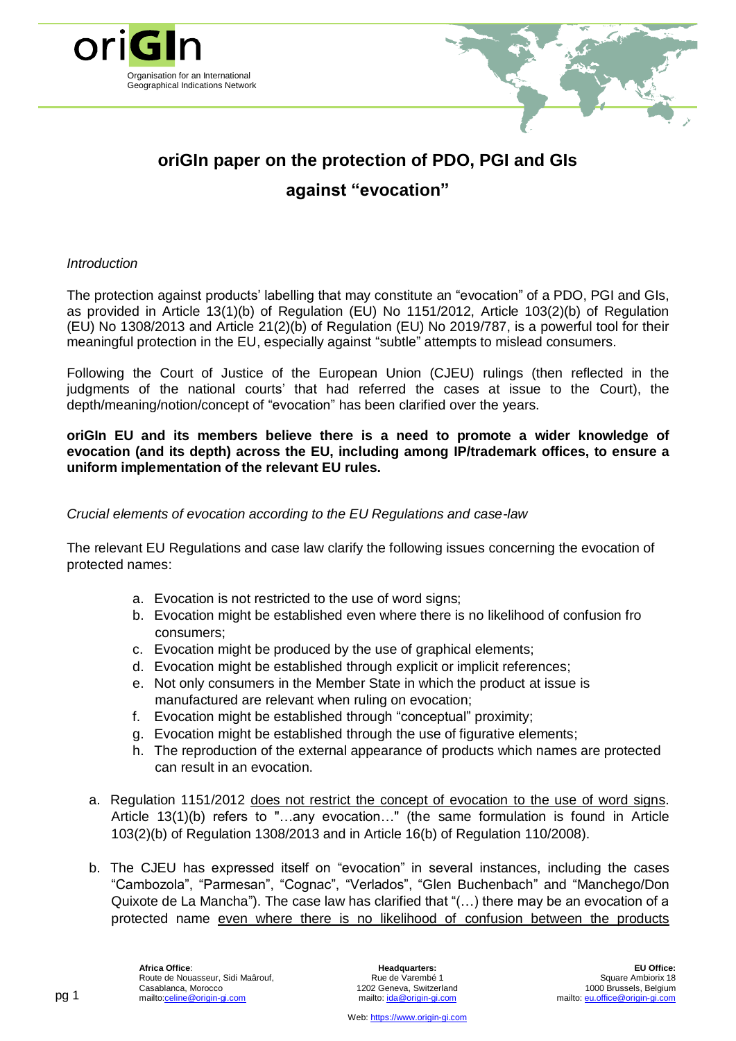

# **oriGIn paper on the protection of PDO, PGI and GIs against "evocation"**

### *Introduction*

The protection against products' labelling that may constitute an "evocation" of a PDO, PGI and GIs, as provided in Article 13(1)(b) of Regulation (EU) No 1151/2012, Article 103(2)(b) of [Regulation](http://eur-lex.europa.eu/LexUriServ/LexUriServ.do?uri=OJ:L:2013:347:0671:0854:EN:PDF) (EU) No [1308/2013](http://eur-lex.europa.eu/LexUriServ/LexUriServ.do?uri=OJ:L:2013:347:0671:0854:EN:PDF) and Article 21(2)(b) of [Regulation](http://eur-lex.europa.eu/LexUriServ/LexUriServ.do?uri=OJ:L:2008:039:0016:0054:EN:PDF) (EU) No 2019/787, is a powerful tool for their meaningful protection in the EU, especially against "subtle" attempts to mislead consumers.

Following the Court of Justice of the European Union (CJEU) rulings (then reflected in the judgments of the national courts' that had referred the cases at issue to the Court), the depth/meaning/notion/concept of "evocation" has been clarified over the years.

**oriGIn EU and its members believe there is a need to promote a wider knowledge of evocation (and its depth) across the EU, including among IP/trademark offices, to ensure a uniform implementation of the relevant EU rules.**

## *Crucial elements of evocation according to the EU Regulations and case-law*

The relevant EU Regulations and case law clarify the following issues concerning the evocation of protected names:

- a. Evocation is not restricted to the use of word signs;
- b. Evocation might be established even where there is no likelihood of confusion fro consumers;
- c. Evocation might be produced by the use of graphical elements;
- d. Evocation might be established through explicit or implicit references;
- e. Not only consumers in the Member State in which the product at issue is manufactured are relevant when ruling on evocation;
- f. Evocation might be established through "conceptual" proximity;
- g. Evocation might be established through the use of figurative elements;
- h. The reproduction of the external appearance of products which names are protected can result in an evocation.
- a. Regulation 1151/2012 does not restrict the concept of evocation to the use of word signs. Article 13(1)(b) refers to "…any evocation…" (the same formulation is found in Article 103(2)(b) of [Regulation](http://eur-lex.europa.eu/LexUriServ/LexUriServ.do?uri=OJ:L:2013:347:0671:0854:EN:PDF) 1308/2013 and in Article 16(b) of [Regulation](http://eur-lex.europa.eu/LexUriServ/LexUriServ.do?uri=OJ:L:2008:039:0016:0054:EN:PDF) 110/2008).
- b. The CJEU has expressed itself on "evocation" in several instances, including the cases "Cambozola", "Parmesan", "Cognac", "Verlados", "Glen Buchenbach" and "Manchego/Don Quixote de La Mancha"). The case law has clarified that "(…) there may be an evocation of a protected name even where there is no likelihood of confusion between the products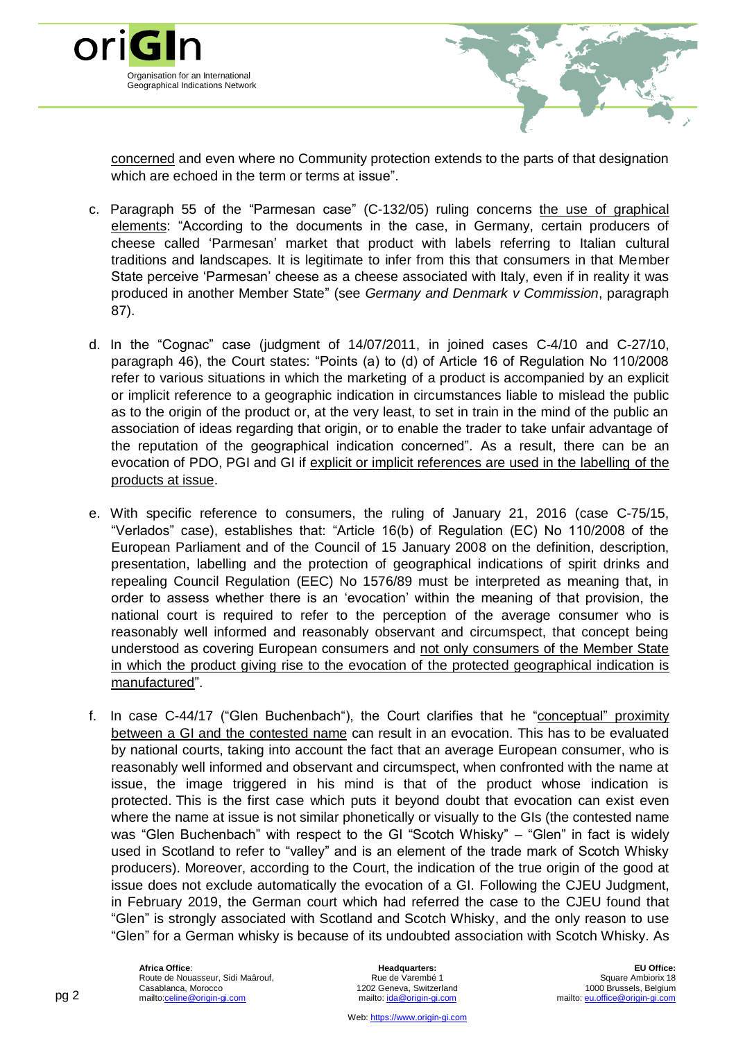

concerned and even where no Community protection extends to the parts of that designation which are echoed in the term or terms at issue".

- c. Paragraph 55 of the "Parmesan case" (C-132/05) ruling concerns the use of graphical elements: "According to the documents in the case, in Germany, certain producers of cheese called 'Parmesan' market that product with labels referring to Italian cultural traditions and landscapes. It is legitimate to infer from this that consumers in that Member State perceive 'Parmesan' cheese as a cheese associated with Italy, even if in reality it was produced in another Member State" (see *Germany and Denmark v Commission*, paragraph 87).
- d. In the "Cognac" case (judgment of 14/07/2011, in joined cases C-4/10 and C-27/10, paragraph 46), the Court states: "Points (a) to (d) of Article 16 of Regulation No 110/2008 refer to various situations in which the marketing of a product is accompanied by an explicit or implicit reference to a geographic indication in circumstances liable to mislead the public as to the origin of the product or, at the very least, to set in train in the mind of the public an association of ideas regarding that origin, or to enable the trader to take unfair advantage of the reputation of the geographical indication concerned". As a result, there can be an evocation of PDO, PGI and GI if explicit or implicit references are used in the labelling of the products at issue.
- e. With specific reference to consumers, the ruling of January 21, 2016 (case C-75/15, "Verlados" case), establishes that: "Article 16(b) of Regulation (EC) No 110/2008 of the European Parliament and of the Council of 15 January 2008 on the definition, description, presentation, labelling and the protection of geographical indications of spirit drinks and repealing Council Regulation (EEC) No 1576/89 must be interpreted as meaning that, in order to assess whether there is an 'evocation' within the meaning of that provision, the national court is required to refer to the perception of the average consumer who is reasonably well informed and reasonably observant and circumspect, that concept being understood as covering European consumers and not only consumers of the Member State in which the product giving rise to the evocation of the protected geographical indication is manufactured".
- f. In case C-44/17 ("Glen Buchenbach"), the Court clarifies that he "conceptual" proximity between a GI and the contested name can result in an evocation. This has to be evaluated by national courts, taking into account the fact that an average European consumer, who is reasonably well informed and observant and circumspect, when confronted with the name at issue, the image triggered in his mind is that of the product whose indication is protected. This is the first case which puts it beyond doubt that evocation can exist even where the name at issue is not similar phonetically or visually to the GIs (the contested name was "Glen Buchenbach" with respect to the GI "Scotch Whisky" – "Glen" in fact is widely used in Scotland to refer to "valley" and is an element of the trade mark of Scotch Whisky producers). Moreover, according to the Court, the indication of the true origin of the good at issue does not exclude automatically the evocation of a GI. Following the CJEU Judgment, in February 2019, the German court which had referred the case to the CJEU found that "Glen" is strongly associated with Scotland and Scotch Whisky, and the only reason to use "Glen" for a German whisky is because of its undoubted association with Scotch Whisky. As

**Headquarters:** Rue de Varembé 1 1202 Geneva, Switzerland mailto[: ida@origin-gi.com](mailto:ida@origin-gi.com)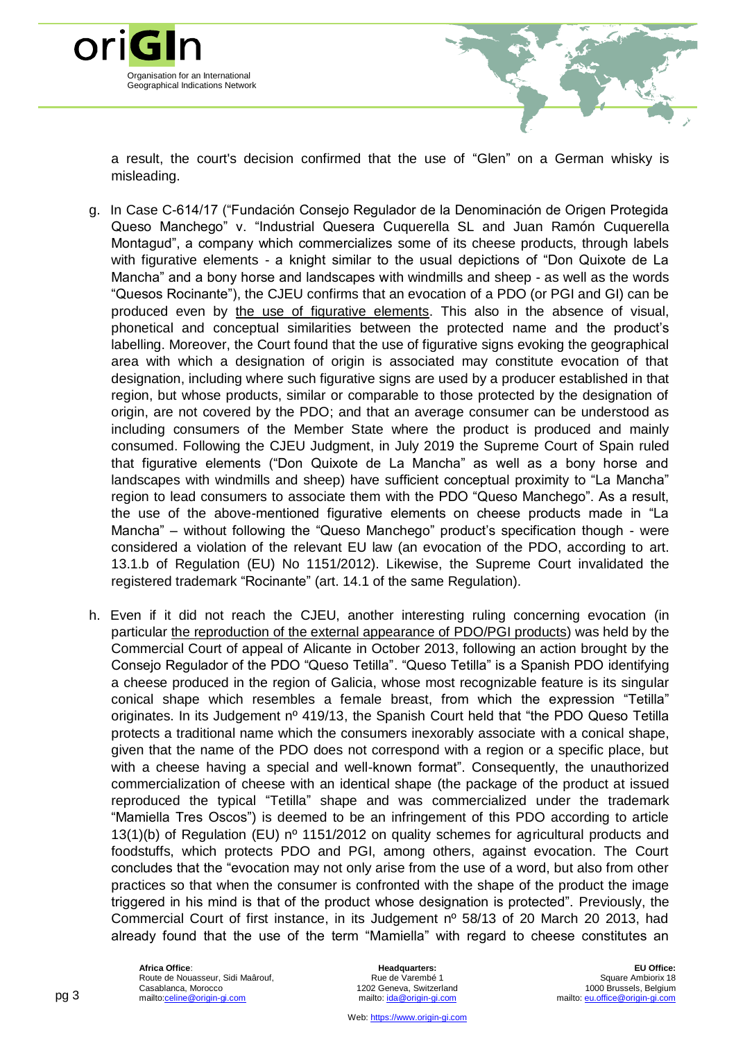

a result, the court's decision confirmed that the use of "Glen" on a German whisky is misleading.

- g. In Case C-614/17 ("Fundación Consejo Regulador de la Denominación de Origen Protegida Queso Manchego" v. "Industrial Quesera Cuquerella SL and Juan Ramón Cuquerella Montagud", a company which commercializes some of its cheese products, through labels with figurative elements - a knight similar to the usual depictions of "Don Quixote de La Mancha" and a bony horse and landscapes with windmills and sheep - as well as the words "Quesos Rocinante"), the CJEU confirms that an evocation of a PDO (or PGI and GI) can be produced even by the use of figurative elements. This also in the absence of visual, phonetical and conceptual similarities between the protected name and the product's labelling. Moreover, the Court found that the use of figurative signs evoking the geographical area with which a designation of origin is associated may constitute evocation of that designation, including where such figurative signs are used by a producer established in that region, but whose products, similar or comparable to those protected by the designation of origin, are not covered by the PDO; and that an average consumer can be understood as including consumers of the Member State where the product is produced and mainly consumed. Following the CJEU Judgment, in July 2019 the Supreme Court of Spain ruled that figurative elements ("Don Quixote de La Mancha" as well as a bony horse and landscapes with windmills and sheep) have sufficient conceptual proximity to "La Mancha" region to lead consumers to associate them with the PDO "Queso Manchego". As a result, the use of the above-mentioned figurative elements on cheese products made in "La Mancha" – without following the "Queso Manchego" product's specification though - were considered a violation of the relevant EU law (an evocation of the PDO, according to art. 13.1.b of Regulation (EU) No 1151/2012). Likewise, the Supreme Court invalidated the registered trademark "Rocinante" (art. 14.1 of the same Regulation).
- h. Even if it did not reach the CJEU, another interesting ruling concerning evocation (in particular the reproduction of the external appearance of PDO/PGI products) was held by the Commercial Court of appeal of Alicante in October 2013, following an action brought by the Consejo Regulador of the PDO "Queso Tetilla". "Queso Tetilla" is a Spanish PDO identifying a cheese produced in the region of Galicia, whose most recognizable feature is its singular conical shape which resembles a female breast, from which the expression "Tetilla" originates. In its Judgement nº 419/13, the Spanish Court held that "the PDO Queso Tetilla protects a traditional name which the consumers inexorably associate with a conical shape, given that the name of the PDO does not correspond with a region or a specific place, but with a cheese having a special and well-known format". Consequently, the unauthorized commercialization of cheese with an identical shape (the package of the product at issued reproduced the typical "Tetilla" shape and was commercialized under the trademark "Mamiella Tres Oscos") is deemed to be an infringement of this PDO according to article 13(1)(b) of Regulation (EU) n<sup>o</sup> 1151/2012 on quality schemes for agricultural products and foodstuffs, which protects PDO and PGI, among others, against evocation. The Court concludes that the "evocation may not only arise from the use of a word, but also from other practices so that when the consumer is confronted with the shape of the product the image triggered in his mind is that of the product whose designation is protected". Previously, the Commercial Court of first instance, in its Judgement nº 58/13 of 20 March 20 2013, had already found that the use of the term "Mamiella" with regard to cheese constitutes an

**Headquarters:** Rue de Varembé 1 1202 Geneva, Switzerland mailto[: ida@origin-gi.com](mailto:ida@origin-gi.com)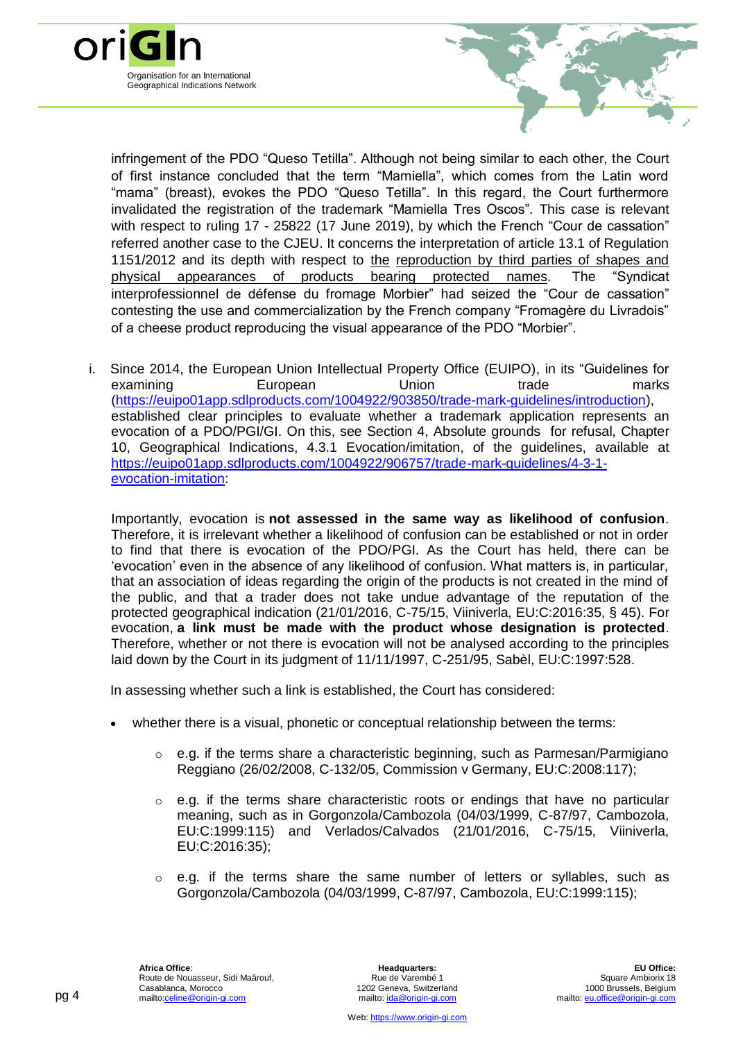

infringement of the PDO "Queso Tetilla". Although not being similar to each other, the Court of first instance concluded that the term "Mamiella", which comes from the Latin word "mama" (breast), evokes the PDO "Queso Tetilla". In this regard, the Court furthermore invalidated the registration of the trademark "Mamiella Tres Oscos". This case is relevant with respect to ruling 17 - 25822 (17 June 2019), by which the French "Cour de cassation" referred another case to the CJEU. It concerns the interpretation of article 13.1 of Regulation 1151/2012 and its depth with respect to the reproduction by third parties of shapes and physical appearances of products bearing protected names. The "Syndicat interprofessionnel de défense du fromage Morbier" had seized the "Cour de cassation" contesting the use and commercialization by the French company "Fromagère du Livradois" of a cheese product reproducing the visual appearance of the PDO "Morbier".

i. Since 2014, the European Union Intellectual Property Office (EUIPO), in its "Guidelines for examining **European** Union trade marks [\(https://euipo01app.sdlproducts.com/1004922/903850/trade-mark-guidelines/introduction\)](https://euipo01app.sdlproducts.com/1004922/903850/trade-mark-guidelines/introduction), established clear principles to evaluate whether a trademark application represents an evocation of a PDO/PGI/GI. On this, see Section 4, Absolute grounds for refusal, Chapter 10, Geographical Indications, 4.3.1 Evocation/imitation, of the guidelines, available at [https://euipo01app.sdlproducts.com/1004922/906757/trade-mark-guidelines/4-3-1](https://euipo01app.sdlproducts.com/1004922/906757/trade-mark-guidelines/4-3-1-evocation-imitation) [evocation-imitation:](https://euipo01app.sdlproducts.com/1004922/906757/trade-mark-guidelines/4-3-1-evocation-imitation)

Importantly, evocation is **not assessed in the same way as likelihood of confusion**. Therefore, it is irrelevant whether a likelihood of confusion can be established or not in order to find that there is evocation of the PDO/PGI. As the Court has held, there can be 'evocation' even in the absence of any likelihood of confusion. What matters is, in particular, that an association of ideas regarding the origin of the products is not created in the mind of the public, and that a trader does not take undue advantage of the reputation of the protected geographical indication (21/01/2016, C-75/15, Viiniverla, EU:C:2016:35, § 45). For evocation, **a link must be made with the product whose designation is protected**. Therefore, whether or not there is evocation will not be analysed according to the principles laid down by the Court in its judgment of 11/11/1997, C-251/95, Sabèl, EU:C:1997:528.

In assessing whether such a link is established, the Court has considered:

- whether there is a visual, phonetic or conceptual relationship between the terms:
	- o e.g. if the terms share a characteristic beginning, such as Parmesan/Parmigiano Reggiano (26/02/2008, C-132/05, Commission v Germany, EU:C:2008:117);
	- $\circ$  e.g. if the terms share characteristic roots or endings that have no particular meaning, such as in Gorgonzola/Cambozola (04/03/1999, C-87/97, Cambozola, EU:C:1999:115) and Verlados/Calvados (21/01/2016, C-75/15, Viiniverla, EU:C:2016:35);
	- e.g. if the terms share the same number of letters or syllables, such as Gorgonzola/Cambozola (04/03/1999, C-87/97, Cambozola, EU:C:1999:115);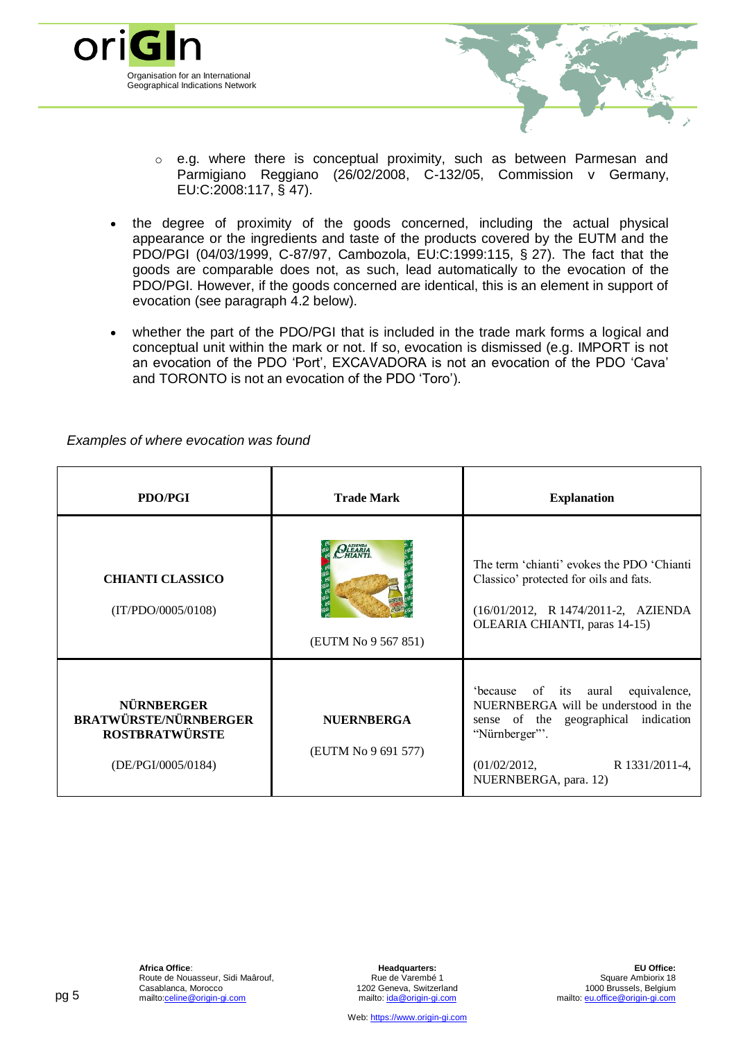

- $\circ$  e.g. where there is conceptual proximity, such as between Parmesan and Parmigiano Reggiano (26/02/2008, C-132/05, Commission v Germany, EU:C:2008:117, § 47).
- the degree of proximity of the goods concerned, including the actual physical appearance or the ingredients and taste of the products covered by the EUTM and the PDO/PGI (04/03/1999, C-87/97, Cambozola, EU:C:1999:115, § 27). The fact that the goods are comparable does not, as such, lead automatically to the evocation of the PDO/PGI. However, if the goods concerned are identical, this is an element in support of evocation (see paragraph 4.2 below).
- whether the part of the PDO/PGI that is included in the trade mark forms a logical and conceptual unit within the mark or not. If so, evocation is dismissed (e.g. IMPORT is not an evocation of the PDO 'Port', EXCAVADORA is not an evocation of the PDO 'Cava' and TORONTO is not an evocation of the PDO 'Toro').

| <b>PDO/PGI</b>                                                                                   | <b>Trade Mark</b>                                | <b>Explanation</b>                                                                                                                                                                              |
|--------------------------------------------------------------------------------------------------|--------------------------------------------------|-------------------------------------------------------------------------------------------------------------------------------------------------------------------------------------------------|
| <b>CHIANTI CLASSICO</b><br>(IT/PDO/0005/0108)                                                    | <b>OLLEARIA</b><br>HIANTI<br>(EUTM No 9 567 851) | The term 'chianti' evokes the PDO 'Chianti'<br>Classico' protected for oils and fats.<br>(16/01/2012, R 1474/2011-2, AZIENDA<br>OLEARIA CHIANTI, paras 14-15)                                   |
| <b>NÜRNBERGER</b><br><b>BRATWÜRSTE/NÜRNBERGER</b><br><b>ROSTBRATWÜRSTE</b><br>(DE/PGI/0005/0184) | <b>NUERNBERGA</b><br>(EUTM No 9 691 577)         | 'because of its aural equivalence,<br>NUERNBERGA will be understood in the<br>sense of the geographical indication<br>"Nürnberger"'.<br>(01/02/2012,<br>R 1331/2011-4.<br>NUERNBERGA, para. 12) |

*Examples of where evocation was found*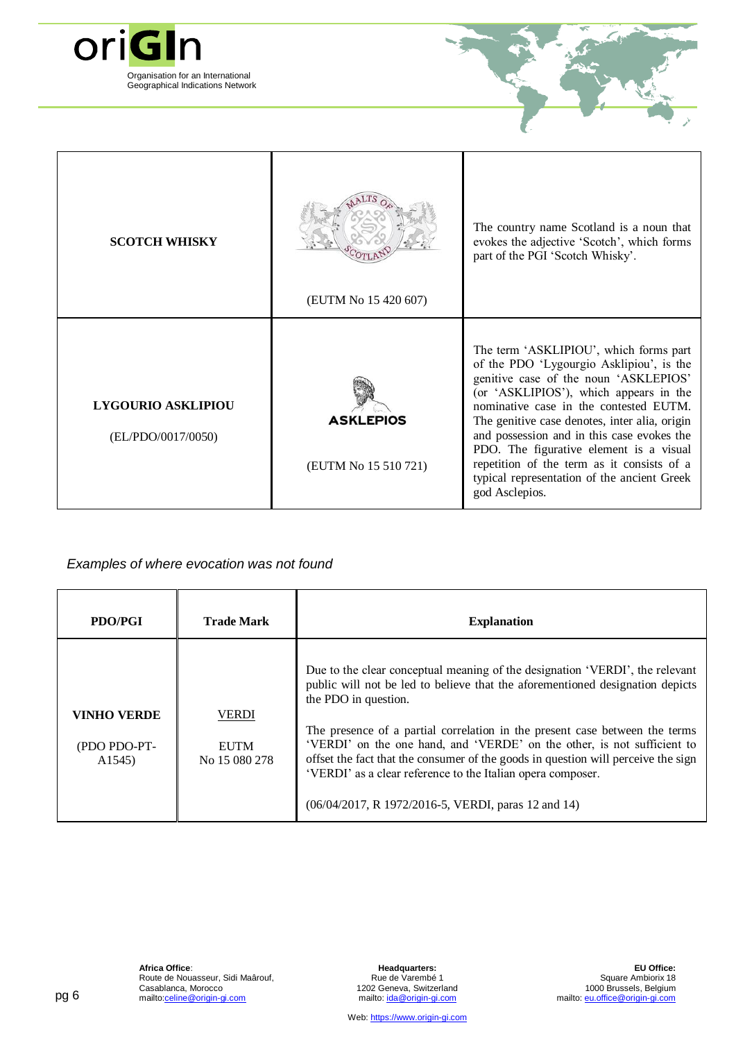

| <b>SCOTCH WHISKY</b>                            | (EUTM No 15 420 607)                     | The country name Scotland is a noun that<br>evokes the adjective 'Scotch', which forms<br>part of the PGI 'Scotch Whisky'.                                                                                                                                                                                                                                                                                                                                               |
|-------------------------------------------------|------------------------------------------|--------------------------------------------------------------------------------------------------------------------------------------------------------------------------------------------------------------------------------------------------------------------------------------------------------------------------------------------------------------------------------------------------------------------------------------------------------------------------|
| <b>LYGOURIO ASKLIPIOU</b><br>(EL/PDO/0017/0050) | <b>ASKLEPIOS</b><br>(EUTM No 15 510 721) | The term 'ASKLIPIOU', which forms part<br>of the PDO 'Lygourgio Asklipiou', is the<br>genitive case of the noun 'ASKLEPIOS'<br>(or 'ASKLIPIOS'), which appears in the<br>nominative case in the contested EUTM.<br>The genitive case denotes, inter alia, origin<br>and possession and in this case evokes the<br>PDO. The figurative element is a visual<br>repetition of the term as it consists of a<br>typical representation of the ancient Greek<br>god Asclepios. |

### *Examples of where evocation was not found*

| <b>PDO/PGI</b>                                            | <b>Trade Mark</b>                            | <b>Explanation</b>                                                                                                                                                                                                                                                                                                                                                                                                                                                                                                                                         |
|-----------------------------------------------------------|----------------------------------------------|------------------------------------------------------------------------------------------------------------------------------------------------------------------------------------------------------------------------------------------------------------------------------------------------------------------------------------------------------------------------------------------------------------------------------------------------------------------------------------------------------------------------------------------------------------|
| <b>VINHO VERDE</b><br>(PDO PDO-PT-<br>A <sub>1545</sub> ) | <b>VERDI</b><br><b>EUTM</b><br>No 15 080 278 | Due to the clear conceptual meaning of the designation 'VERDI', the relevant<br>public will not be led to believe that the aforementioned designation depicts<br>the PDO in question.<br>The presence of a partial correlation in the present case between the terms<br>'VERDI' on the one hand, and 'VERDE' on the other, is not sufficient to<br>offset the fact that the consumer of the goods in question will perceive the sign<br>'VERDI' as a clear reference to the Italian opera composer.<br>(06/04/2017, R 1972/2016-5, VERDI, paras 12 and 14) |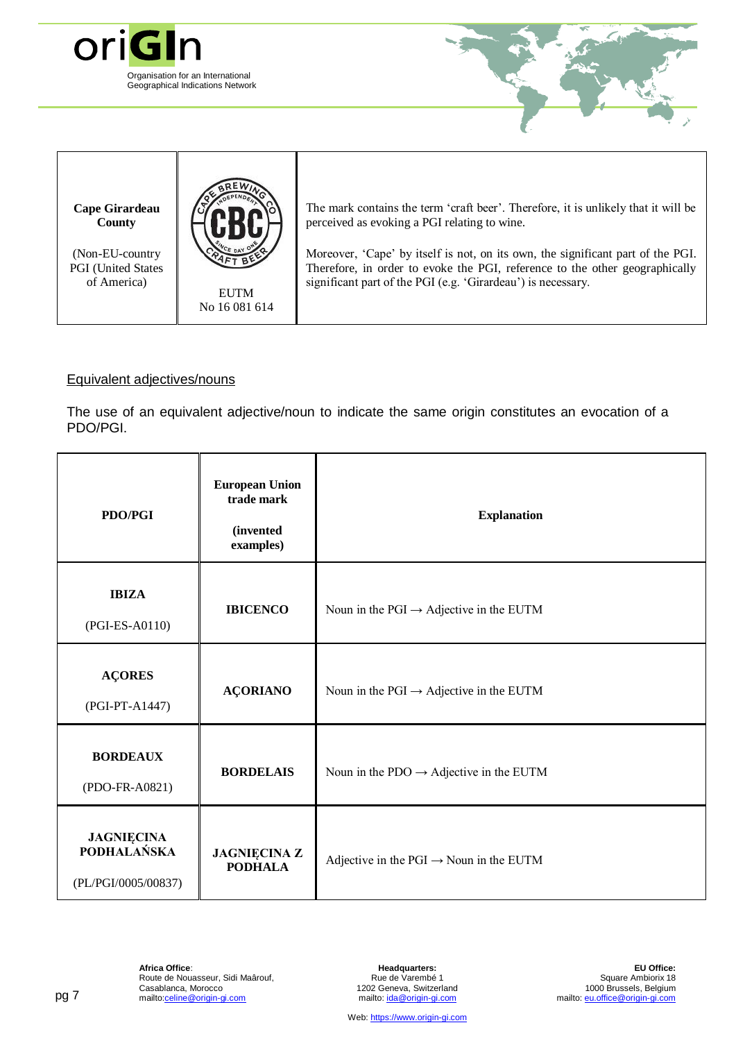

(Non-EU-country PGI (United States of America)

EUTM No 16 081 614

Moreover, 'Cape' by itself is not, on its own, the significant part of the PGI. Therefore, in order to evoke the PGI, reference to the other geographically significant part of the PGI (e.g. 'Girardeau') is necessary.

### Equivalent adjectives/nouns

The use of an equivalent adjective/noun to indicate the same origin constitutes an evocation of a PDO/PGI.

| <b>PDO/PGI</b>                                                 | <b>European Union</b><br>trade mark<br>(invented<br>examples) | <b>Explanation</b>                                  |
|----------------------------------------------------------------|---------------------------------------------------------------|-----------------------------------------------------|
| <b>IBIZA</b><br>(PGI-ES-A0110)                                 | <b>IBICENCO</b>                                               | Noun in the PGI $\rightarrow$ Adjective in the EUTM |
| <b>AÇORES</b><br>(PGI-PT-A1447)                                | <b>AÇORIANO</b>                                               | Noun in the PGI $\rightarrow$ Adjective in the EUTM |
| <b>BORDEAUX</b><br>(PDO-FR-A0821)                              | <b>BORDELAIS</b>                                              | Noun in the PDO $\rightarrow$ Adjective in the EUTM |
| <b>JAGNIĘCINA</b><br><b>PODHALAŃSKA</b><br>(PL/PGI/0005/00837) | <b>JAGNIĘCINA Z</b><br><b>PODHALA</b>                         | Adjective in the PGI $\rightarrow$ Noun in the EUTM |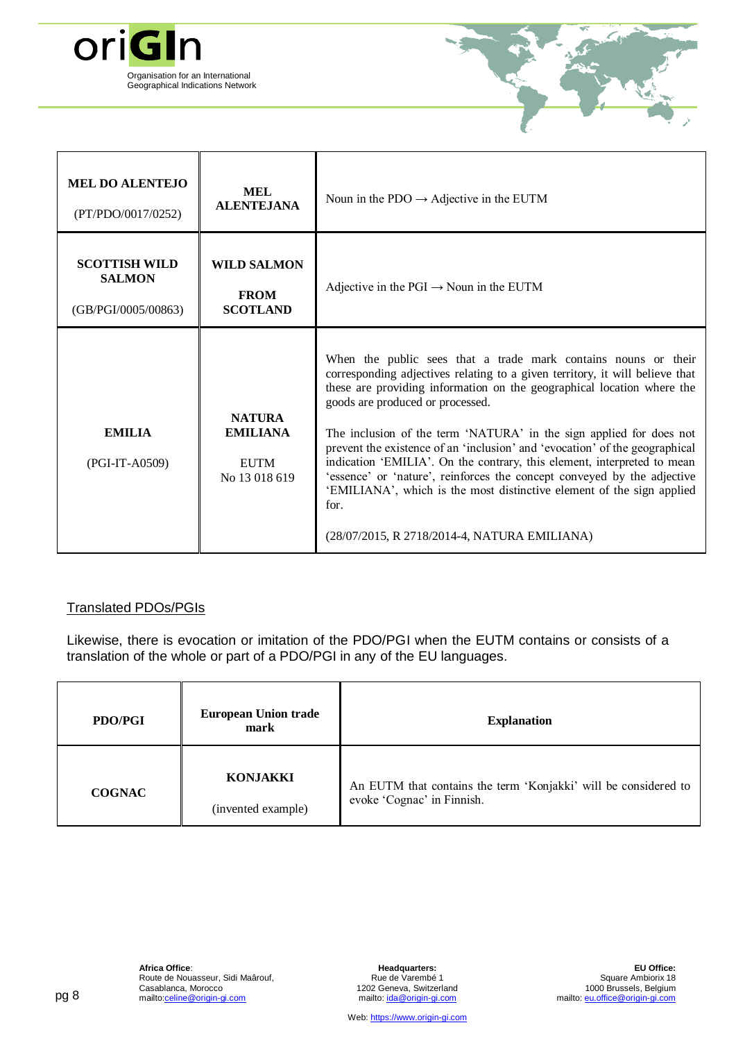



| <b>MEL DO ALENTEJO</b><br>(PT/PDO/0017/0252)                 | <b>MEL</b><br><b>ALENTEJANA</b>                                  | Noun in the PDO $\rightarrow$ Adjective in the EUTM                                                                                                                                                                                                                                                                                                                                                                                                                                                                                                                                                                                                                                                       |
|--------------------------------------------------------------|------------------------------------------------------------------|-----------------------------------------------------------------------------------------------------------------------------------------------------------------------------------------------------------------------------------------------------------------------------------------------------------------------------------------------------------------------------------------------------------------------------------------------------------------------------------------------------------------------------------------------------------------------------------------------------------------------------------------------------------------------------------------------------------|
| <b>SCOTTISH WILD</b><br><b>SALMON</b><br>(GB/PGI/0005/00863) | <b>WILD SALMON</b><br><b>FROM</b><br><b>SCOTLAND</b>             | Adjective in the PGI $\rightarrow$ Noun in the EUTM                                                                                                                                                                                                                                                                                                                                                                                                                                                                                                                                                                                                                                                       |
| <b>EMILIA</b><br>(PGI-IT-A0509)                              | <b>NATURA</b><br><b>EMILIANA</b><br><b>EUTM</b><br>No 13 018 619 | When the public sees that a trade mark contains nouns or their<br>corresponding adjectives relating to a given territory, it will believe that<br>these are providing information on the geographical location where the<br>goods are produced or processed.<br>The inclusion of the term 'NATURA' in the sign applied for does not<br>prevent the existence of an 'inclusion' and 'evocation' of the geographical<br>indication 'EMILIA'. On the contrary, this element, interpreted to mean<br>'essence' or 'nature', reinforces the concept conveyed by the adjective<br>'EMILIANA', which is the most distinctive element of the sign applied<br>for.<br>(28/07/2015, R 2718/2014-4, NATURA EMILIANA) |

### Translated PDOs/PGIs

Likewise, there is evocation or imitation of the PDO/PGI when the EUTM contains or consists of a translation of the whole or part of a PDO/PGI in any of the EU languages.

| <b>PDO/PGI</b> | <b>European Union trade</b><br>mark   | <b>Explanation</b>                                                                            |
|----------------|---------------------------------------|-----------------------------------------------------------------------------------------------|
| <b>COGNAC</b>  | <b>KONJAKKI</b><br>(invented example) | An EUTM that contains the term 'Konjakki' will be considered to<br>evoke 'Cognac' in Finnish. |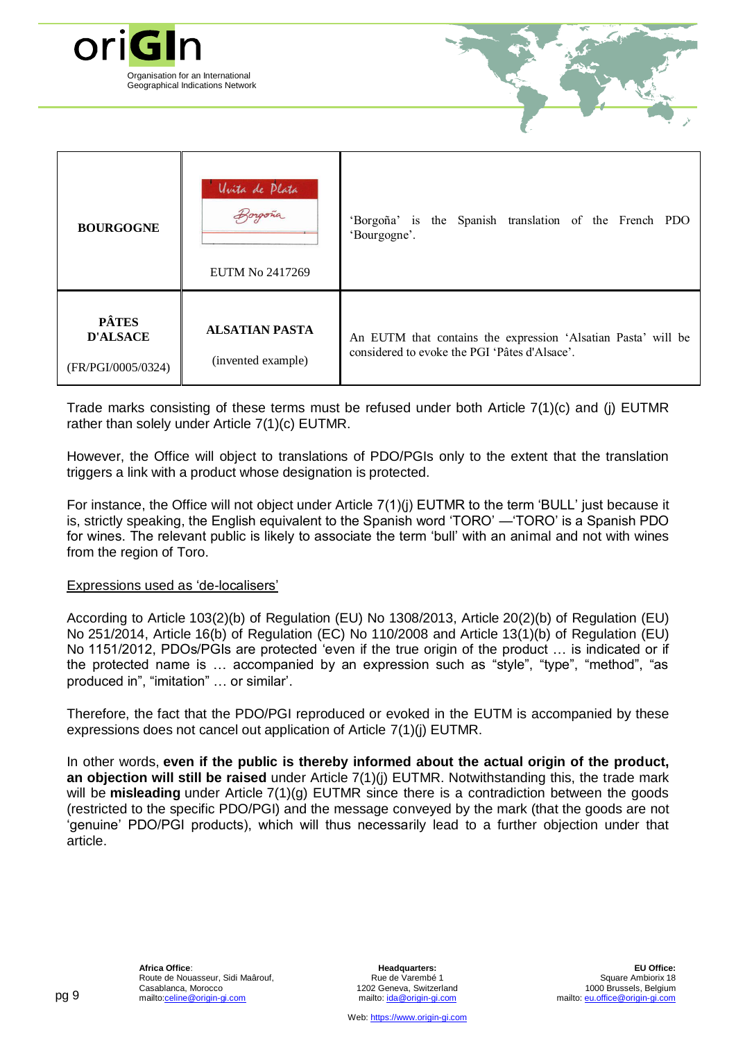

| <b>BOURGOGNE</b>                                      | Uvita de Plata<br>forgong<br>EUTM No 2417269 | 'Borgoña' is the Spanish translation of the French PDO<br>'Bourgogne'.                                         |
|-------------------------------------------------------|----------------------------------------------|----------------------------------------------------------------------------------------------------------------|
| <b>PÂTES</b><br><b>D'ALSACE</b><br>(FR/PGI/0005/0324) | <b>ALSATIAN PASTA</b><br>(invented example)  | An EUTM that contains the expression 'Alsatian Pasta' will be<br>considered to evoke the PGI 'Pâtes d'Alsace'. |

Trade marks consisting of these terms must be refused under both Article 7(1)(c) and (j) EUTMR rather than solely under Article 7(1)(c) EUTMR.

However, the Office will object to translations of PDO/PGIs only to the extent that the translation triggers a link with a product whose designation is protected.

For instance, the Office will not object under Article 7(1)(j) EUTMR to the term 'BULL' just because it is, strictly speaking, the English equivalent to the Spanish word 'TORO' —'TORO' is a Spanish PDO for wines. The relevant public is likely to associate the term 'bull' with an animal and not with wines from the region of Toro.

#### Expressions used as 'de-localisers'

According to Article 103(2)(b) of Regulation (EU) No 1308/2013, Article 20(2)(b) of Regulation (EU) No 251/2014, Article 16(b) of Regulation (EC) No 110/2008 and Article 13(1)(b) of Regulation (EU) No 1151/2012, PDOs/PGIs are protected 'even if the true origin of the product … is indicated or if the protected name is … accompanied by an expression such as "style", "type", "method", "as produced in", "imitation" … or similar'.

Therefore, the fact that the PDO/PGI reproduced or evoked in the EUTM is accompanied by these expressions does not cancel out application of Article 7(1)(j) EUTMR.

In other words, **even if the public is thereby informed about the actual origin of the product, an objection will still be raised** under Article 7(1)(j) EUTMR. Notwithstanding this, the trade mark will be **misleading** under Article 7(1)(g) EUTMR since there is a contradiction between the goods (restricted to the specific PDO/PGI) and the message conveyed by the mark (that the goods are not 'genuine' PDO/PGI products), which will thus necessarily lead to a further objection under that article.